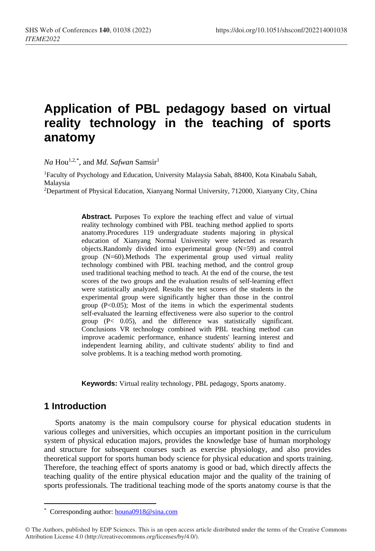# **Application of PBL pedagogy based on virtual reality technology in the teaching of sports anatomy**

*Na* Hou1,2,[\\*](#page-0-0) , and *Md. Safwan* Samsir 1

1Faculty of Psychology and Education, University Malaysia Sabah, 88400, Kota Kinabalu Sabah, Malaysia

2Department of Physical Education, Xianyang Normal University, 712000, Xianyany City, China

**Abstract.** Purposes To explore the teaching effect and value of virtual reality technology combined with PBL teaching method applied to sports anatomy.Procedures 119 undergraduate students majoring in physical education of Xianyang Normal University were selected as research objects.Randomly divided into experimental group (N=59) and control group (N=60).Methods The experimental group used virtual reality technology combined with PBL teaching method, and the control group used traditional teaching method to teach. At the end of the course, the test scores of the two groups and the evaluation results of self-learning effect were statistically analyzed. Results the test scores of the students in the experimental group were significantly higher than those in the control group  $(P<0.05)$ ; Most of the items in which the experimental students self-evaluated the learning effectiveness were also superior to the control group (P< 0.05), and the difference was statistically significant. Conclusions VR technology combined with PBL teaching method can improve academic performance, enhance students' learning interest and independent learning ability, and cultivate students' ability to find and solve problems. It is a teaching method worth promoting.

**Keywords:** Virtual reality technology, PBL pedagogy, Sports anatomy.

# **1 Introduction**

Sports anatomy is the main compulsory course for physical education students in various colleges and universities, which occupies an important position in the curriculum system of physical education majors, provides the knowledge base of human morphology and structure for subsequent courses such as exercise physiology, and also provides theoretical support for sports human body science for physical education and sports training. Therefore, the teaching effect of sports anatomy is good or bad, which directly affects the teaching quality of the entire physical education major and the quality of the training of sports professionals. The traditional teaching mode of the sports anatomy course is that the

 $\overline{a}$ \* Corresponding author[: houna0918@sina.com](mailto:houna0918@sina.com)

<span id="page-0-0"></span><sup>©</sup> The Authors, published by EDP Sciences. This is an open access article distributed under the terms of the Creative Commons Attribution License 4.0 (http://creativecommons.org/licenses/by/4.0/).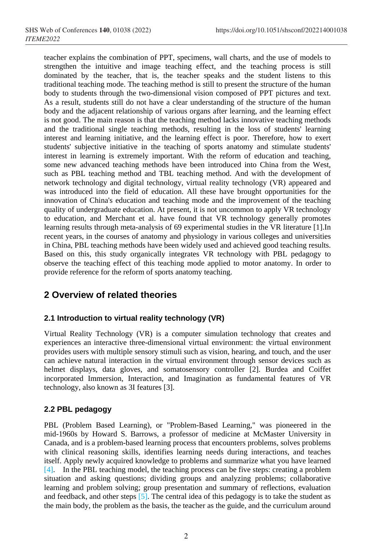teacher explains the combination of PPT, specimens, wall charts, and the use of models to strengthen the intuitive and image teaching effect, and the teaching process is still dominated by the teacher, that is, the teacher speaks and the student listens to this traditional teaching mode. The teaching method is still to present the structure of the human body to students through the two-dimensional vision composed of PPT pictures and text. As a result, students still do not have a clear understanding of the structure of the human body and the adjacent relationship of various organs after learning, and the learning effect is not good. The main reason is that the teaching method lacks innovative teaching methods and the traditional single teaching methods, resulting in the loss of students' learning interest and learning initiative, and the learning effect is poor. Therefore, how to exert students' subjective initiative in the teaching of sports anatomy and stimulate students' interest in learning is extremely important. With the reform of education and teaching, some new advanced teaching methods have been introduced into China from the West, such as PBL teaching method and TBL teaching method. And with the development of network technology and digital technology, virtual reality technology (VR) appeared and was introduced into the field of education. All these have brought opportunities for the innovation of China's education and teaching mode and the improvement of the teaching quality of undergraduate education. At present, it is not uncommon to apply VR technology to education, and Merchant et al. have found that VR technology generally promotes learning results through meta-analysis of 69 experimental studies in the VR literature [1].In recent years, in the courses of anatomy and physiology in various colleges and universities in China, PBL teaching methods have been widely used and achieved good teaching results. Based on this, this study organically integrates VR technology with PBL pedagogy to observe the teaching effect of this teaching mode applied to motor anatomy. In order to provide reference for the reform of sports anatomy teaching.

# **2 Overview of related theories**

### **2.1 Introduction to virtual reality technology (VR)**

Virtual Reality Technology (VR) is a computer simulation technology that creates and experiences an interactive three-dimensional virtual environment: the virtual environment provides users with multiple sensory stimuli such as vision, hearing, and touch, and the user can achieve natural interaction in the virtual environment through sensor devices such as helmet displays, data gloves, and somatosensory controller [2]. Burdea and Coiffet incorporated Immersion, Interaction, and Imagination as fundamental features of VR technology, also known as 3I features [3].

### **2.2 PBL pedagogy**

PBL (Problem Based Learning), or "Problem-Based Learning," was pioneered in the mid-1960s by Howard S. Barrows, a professor of medicine at McMaster University in Canada, and is a problem-based learning process that encounters problems, solves problems with clinical reasoning skills, identifies learning needs during interactions, and teaches itself. Apply newly acquired knowledge to problems and summarize what you have learned [4]. In the PBL teaching model, the teaching process can be five steps: creating a problem situation and asking questions; dividing groups and analyzing problems; collaborative learning and problem solving; group presentation and summary of reflections, evaluation and feedback, and other steps  $[5]$ . The central idea of this pedagogy is to take the student as the main body, the problem as the basis, the teacher as the guide, and the curriculum around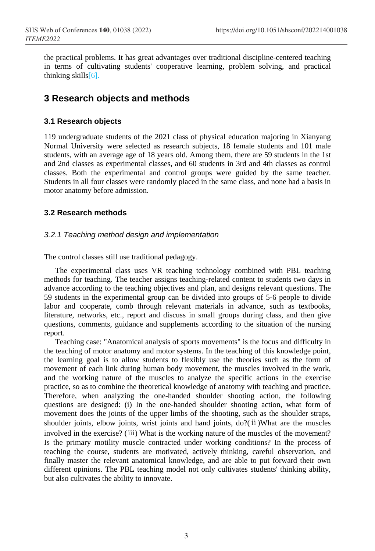the practical problems. It has great advantages over traditional discipline-centered teaching in terms of cultivating students' cooperative learning, problem solving, and practical thinking skills $[6]$ .

# **3 Research objects and methods**

### **3.1 Research objects**

119 undergraduate students of the 2021 class of physical education majoring in Xianyang Normal University were selected as research subjects, 18 female students and 101 male students, with an average age of 18 years old. Among them, there are 59 students in the 1st and 2nd classes as experimental classes, and 60 students in 3rd and 4th classes as control classes. Both the experimental and control groups were guided by the same teacher. Students in all four classes were randomly placed in the same class, and none had a basis in motor anatomy before admission.

### **3.2 Research methods**

### *3.2.1 Teaching method design and implementation*

The control classes still use traditional pedagogy.

The experimental class uses VR teaching technology combined with PBL teaching methods for teaching. The teacher assigns teaching-related content to students two days in advance according to the teaching objectives and plan, and designs relevant questions. The 59 students in the experimental group can be divided into groups of 5-6 people to divide labor and cooperate, comb through relevant materials in advance, such as textbooks, literature, networks, etc., report and discuss in small groups during class, and then give questions, comments, guidance and supplements according to the situation of the nursing report.

Teaching case: "Anatomical analysis of sports movements" is the focus and difficulty in the teaching of motor anatomy and motor systems. In the teaching of this knowledge point, the learning goal is to allow students to flexibly use the theories such as the form of movement of each link during human body movement, the muscles involved in the work, and the working nature of the muscles to analyze the specific actions in the exercise practice, so as to combine the theoretical knowledge of anatomy with teaching and practice. Therefore, when analyzing the one-handed shoulder shooting action, the following questions are designed: (i) In the one-handed shoulder shooting action, what form of movement does the joints of the upper limbs of the shooting, such as the shoulder straps, shoulder joints, elbow joints, wrist joints and hand joints, do?(ii)What are the muscles involved in the exercise? (ⅲ) What is the working nature of the muscles of the movement? Is the primary motility muscle contracted under working conditions? In the process of teaching the course, students are motivated, actively thinking, careful observation, and finally master the relevant anatomical knowledge, and are able to put forward their own different opinions. The PBL teaching model not only cultivates students' thinking ability, but also cultivates the ability to innovate.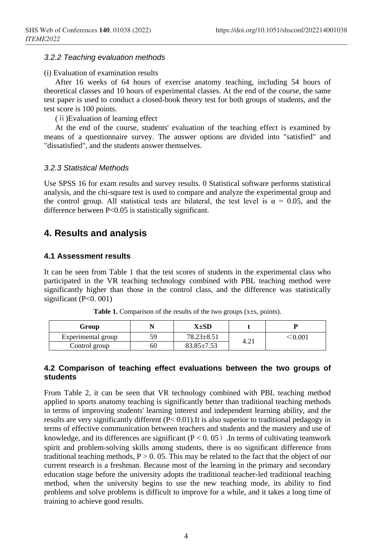#### *3.2.2 Teaching evaluation methods*

#### (i) Evaluation of examination results

After 16 weeks of 64 hours of exercise anatomy teaching, including 54 hours of theoretical classes and 10 hours of experimental classes. At the end of the course, the same test paper is used to conduct a closed-book theory test for both groups of students, and the test score is 100 points.

(ⅱ)Evaluation of learning effect

At the end of the course, students' evaluation of the teaching effect is examined by means of a questionnaire survey. The answer options are divided into "satisfied" and "dissatisfied", and the students answer themselves.

#### *3.2.3 Statistical Methods*

Use SPSS 16 for exam results and survey results. 0 Statistical software performs statistical analysis, and the chi-square test is used to compare and analyze the experimental group and the control group. All statistical tests are bilateral, the test level is  $\alpha = 0.05$ , and the difference between P<0.05 is statistically significant.

## **4. Results and analysis**

#### **4.1 Assessment results**

It can be seen from Table 1 that the test scores of students in the experimental class who participated in the VR teaching technology combined with PBL teaching method were significantly higher than those in the control class, and the difference was statistically significant (P<0. 001)

| Group              |    | X±SD             |      |                                    |
|--------------------|----|------------------|------|------------------------------------|
| Experimental group | 59 | $78.23 \pm 8.51$ | 4.21 | $\stackrel{<}{\scriptstyle 0.001}$ |
| Control group      | 60 | 83.85±7.53       |      |                                    |

**Table 1.** Comparison of the results of the two groups  $(x \pm s, \text{ points})$ .

#### **2 Comparison of teaching effect evaluations between the two groups of 4. students**

From Table 2, it can be seen that VR technology combined with PBL teaching method applied to sports anatomy teaching is significantly better than traditional teaching methods in terms of improving students' learning interest and independent learning ability, and the results are very significantly different (P< 0.01).It is also superior to traditional pedagogy in terms of effective communication between teachers and students and the mastery and use of knowledge, and its differences are significant ( $P < 0.05$ ). In terms of cultivating teamwork spirit and problem-solving skills among students, there is no significant difference from traditional teaching methods,  $P > 0.05$ . This may be related to the fact that the object of our current research is a freshman. Because most of the learning in the primary and secondary education stage before the university adopts the traditional teacher-led traditional teaching method, when the university begins to use the new teaching mode, its ability to find problems and solve problems is difficult to improve for a while, and it takes a long time of training to achieve good results.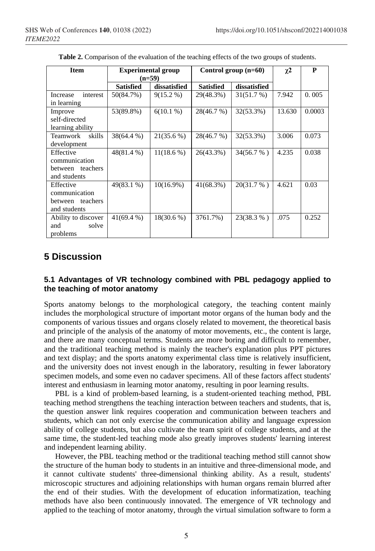| <b>Item</b>                                                    | <b>Experimental group</b><br>$(n=59)$ |              | Control group $(n=60)$ |              | $\chi^2$ | P      |
|----------------------------------------------------------------|---------------------------------------|--------------|------------------------|--------------|----------|--------|
|                                                                | <b>Satisfied</b>                      | dissatisfied | <b>Satisfied</b>       | dissatisfied |          |        |
| interest<br>Increase<br>in learning                            | 50(84.7%)                             | $9(15.2\%)$  | 29(48.3%)              | 31(51.7%)    | 7.942    | 0.005  |
| Improve<br>self-directed<br>learning ability                   | 53(89.8%)                             | $6(10.1\%)$  | 28(46.7 %)             | 32(53.3%)    | 13.630   | 0.0003 |
| skills<br>Teamwork<br>development                              | 38(64.4 %)                            | $21(35.6\%)$ | 28(46.7 %)             | 32(53.3%)    | 3.006    | 0.073  |
| Effective<br>communication<br>between teachers<br>and students | 48(81.4 %)                            | $11(18.6\%)$ | 26(43.3%)              | 34(56.7 %)   | 4.235    | 0.038  |
| Effective<br>communication<br>between teachers<br>and students | $49(83.1\%)$                          | $10(16.9\%)$ | $41(68.3\%)$           | 20(31.7%)    | 4.621    | 0.03   |
| Ability to discover<br>solve<br>and<br>problems                | $41(69.4\%)$                          | $18(30.6\%)$ | 3761.7%)               | 23(38.3 %)   | .075     | 0.252  |

Table 2. Comparison of the evaluation of the teaching effects of the two groups of students.

# **5 Discussion**

### **1 Advantages of VR technology combined with PBL pedagogy applied to 5. the teaching of motor anatomy**

Sports anatomy belongs to the morphological category, the teaching content mainly includes the morphological structure of important motor organs of the human body and the components of various tissues and organs closely related to movement, the theoretical basis and principle of the analysis of the anatomy of motor movements, etc., the content is large, and there are many conceptual terms. Students are more boring and difficult to remember, and the traditional teaching method is mainly the teacher's explanation plus PPT pictures and text display; and the sports anatomy experimental class time is relatively insufficient, and the university does not invest enough in the laboratory, resulting in fewer laboratory specimen models, and some even no cadaver specimens. All of these factors affect students' interest and enthusiasm in learning motor anatomy, resulting in poor learning results.

PBL is a kind of problem-based learning, is a student-oriented teaching method, PBL teaching method strengthens the teaching interaction between teachers and students, that is, the question answer link requires cooperation and communication between teachers and students, which can not only exercise the communication ability and language expression ability of college students, but also cultivate the team spirit of college students, and at the same time, the student-led teaching mode also greatly improves students' learning interest and independent learning ability.

However, the PBL teaching method or the traditional teaching method still cannot show the structure of the human body to students in an intuitive and three-dimensional mode, and it cannot cultivate students' three-dimensional thinking ability. As a result, students' microscopic structures and adjoining relationships with human organs remain blurred after the end of their studies. With the development of education informatization, teaching methods have also been continuously innovated. The emergence of VR technology and applied to the teaching of motor anatomy, through the virtual simulation software to form a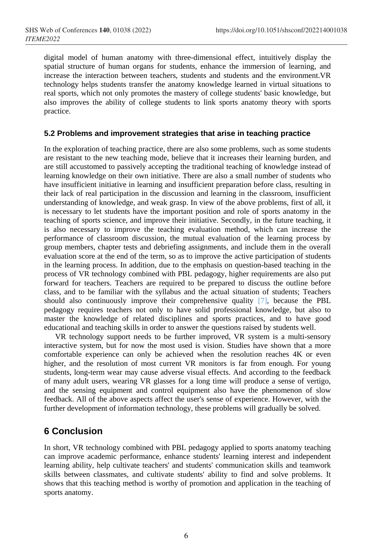digital model of human anatomy with three-dimensional effect, intuitively display the spatial structure of human organs for students, enhance the immersion of learning, and increase the interaction between teachers, students and students and the environment.VR technology helps students transfer the anatomy knowledge learned in virtual situations to real sports, which not only promotes the mastery of college students' basic knowledge, but also improves the ability of college students to link sports anatomy theory with sports practice.

### **5.2 Problems and improvement strategies that arise in teaching practice**

In the exploration of teaching practice, there are also some problems, such as some students are resistant to the new teaching mode, believe that it increases their learning burden, and are still accustomed to passively accepting the traditional teaching of knowledge instead of learning knowledge on their own initiative. There are also a small number of students who have insufficient initiative in learning and insufficient preparation before class, resulting in their lack of real participation in the discussion and learning in the classroom, insufficient understanding of knowledge, and weak grasp. In view of the above problems, first of all, it is necessary to let students have the important position and role of sports anatomy in the teaching of sports science, and improve their initiative. Secondly, in the future teaching, it is also necessary to improve the teaching evaluation method, which can increase the performance of classroom discussion, the mutual evaluation of the learning process by group members, chapter tests and debriefing assignments, and include them in the overall evaluation score at the end of the term, so as to improve the active participation of students in the learning process. In addition, due to the emphasis on question-based teaching in the process of VR technology combined with PBL pedagogy, higher requirements are also put forward for teachers. Teachers are required to be prepared to discuss the outline before class, and to be familiar with the syllabus and the actual situation of students; Teachers should also continuously improve their comprehensive quality [7], because the PBL pedagogy requires teachers not only to have solid professional knowledge, but also to master the knowledge of related disciplines and sports practices, and to have good educational and teaching skills in order to answer the questions raised by students well.

VR technology support needs to be further improved, VR system is a multi-sensory interactive system, but for now the most used is vision. Studies have shown that a more comfortable experience can only be achieved when the resolution reaches 4K or even higher, and the resolution of most current VR monitors is far from enough. For young students, long-term wear may cause adverse visual effects. And according to the feedback of many adult users, wearing VR glasses for a long time will produce a sense of vertigo, and the sensing equipment and control equipment also have the phenomenon of slow feedback. All of the above aspects affect the user's sense of experience. However, with the further development of information technology, these problems will gradually be solved.

# **6 Conclusion**

In short, VR technology combined with PBL pedagogy applied to sports anatomy teaching can improve academic performance, enhance students' learning interest and independent learning ability, help cultivate teachers' and students' communication skills and teamwork skills between classmates, and cultivate students' ability to find and solve problems. It shows that this teaching method is worthy of promotion and application in the teaching of sports anatomy.